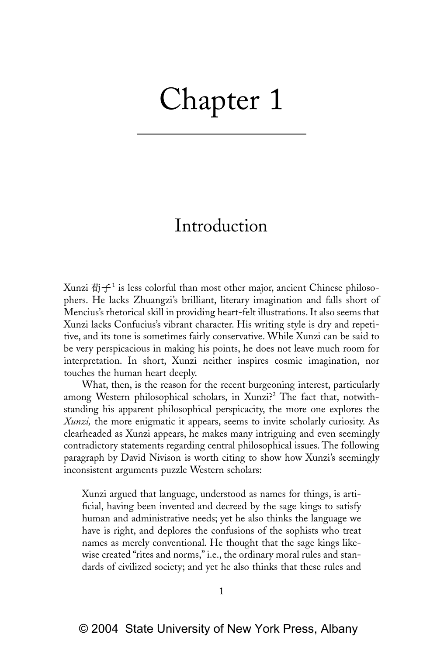## Chapter 1

## Introduction

Xunzi  $\vec{\textbf{m}}$  is less colorful than most other major, ancient Chinese philosophers. He lacks Zhuangzi's brilliant, literary imagination and falls short of Mencius's rhetorical skill in providing heart-felt illustrations. It also seems that Xunzi lacks Confucius's vibrant character. His writing style is dry and repetitive, and its tone is sometimes fairly conservative. While Xunzi can be said to be very perspicacious in making his points, he does not leave much room for interpretation. In short, Xunzi neither inspires cosmic imagination, nor touches the human heart deeply.

What, then, is the reason for the recent burgeoning interest, particularly among Western philosophical scholars, in Xunzi?<sup>2</sup> The fact that, notwithstanding his apparent philosophical perspicacity, the more one explores the *Xunzi,* the more enigmatic it appears, seems to invite scholarly curiosity. As clearheaded as Xunzi appears, he makes many intriguing and even seemingly contradictory statements regarding central philosophical issues. The following paragraph by David Nivison is worth citing to show how Xunzi's seemingly inconsistent arguments puzzle Western scholars:

Xunzi argued that language, understood as names for things, is artificial, having been invented and decreed by the sage kings to satisfy human and administrative needs; yet he also thinks the language we have is right, and deplores the confusions of the sophists who treat names as merely conventional. He thought that the sage kings likewise created "rites and norms," i.e., the ordinary moral rules and standards of civilized society; and yet he also thinks that these rules and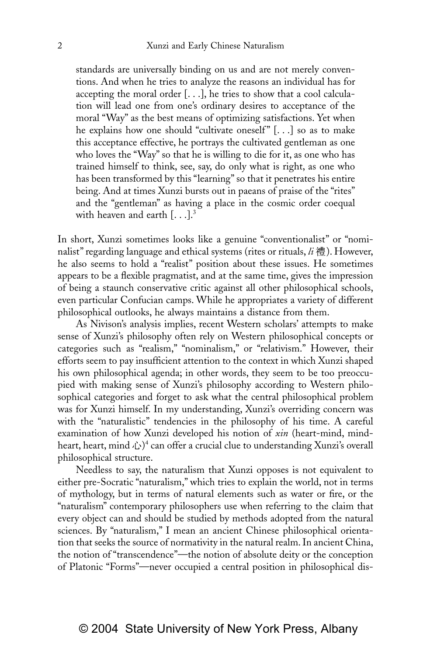standards are universally binding on us and are not merely conventions. And when he tries to analyze the reasons an individual has for accepting the moral order  $[...]$ , he tries to show that a cool calculation will lead one from one's ordinary desires to acceptance of the moral "Way" as the best means of optimizing satisfactions. Yet when he explains how one should "cultivate oneself"  $[...]$  so as to make this acceptance effective, he portrays the cultivated gentleman as one who loves the "Way" so that he is willing to die for it, as one who has trained himself to think, see, say, do only what is right, as one who has been transformed by this "learning" so that it penetrates his entire being. And at times Xunzi bursts out in paeans of praise of the "rites" and the "gentleman" as having a place in the cosmic order coequal with heaven and earth  $[...]$ <sup>3</sup>

In short, Xunzi sometimes looks like a genuine "conventionalist" or "nominalist" regarding language and ethical systems (rites or rituals,  $li$  禮). However, he also seems to hold a "realist" position about these issues. He sometimes appears to be a flexible pragmatist, and at the same time, gives the impression of being a staunch conservative critic against all other philosophical schools, even particular Confucian camps. While he appropriates a variety of different philosophical outlooks, he always maintains a distance from them.

As Nivison's analysis implies, recent Western scholars' attempts to make sense of Xunzi's philosophy often rely on Western philosophical concepts or categories such as "realism," "nominalism," or "relativism." However, their efforts seem to pay insufficient attention to the context in which Xunzi shaped his own philosophical agenda; in other words, they seem to be too preoccupied with making sense of Xunzi's philosophy according to Western philosophical categories and forget to ask what the central philosophical problem was for Xunzi himself. In my understanding, Xunzi's overriding concern was with the "naturalistic" tendencies in the philosophy of his time. A careful examination of how Xunzi developed his notion of *xin* (heart-mind, mindheart, heart, mind  $\mathcal{L}^4$  can offer a crucial clue to understanding Xunzi's overall philosophical structure.

Needless to say, the naturalism that Xunzi opposes is not equivalent to either pre-Socratic "naturalism," which tries to explain the world, not in terms of mythology, but in terms of natural elements such as water or fire, or the "naturalism" contemporary philosophers use when referring to the claim that every object can and should be studied by methods adopted from the natural sciences. By "naturalism," I mean an ancient Chinese philosophical orientation that seeks the source of normativity in the natural realm. In ancient China, the notion of "transcendence"—the notion of absolute deity or the conception of Platonic "Forms"—never occupied a central position in philosophical dis-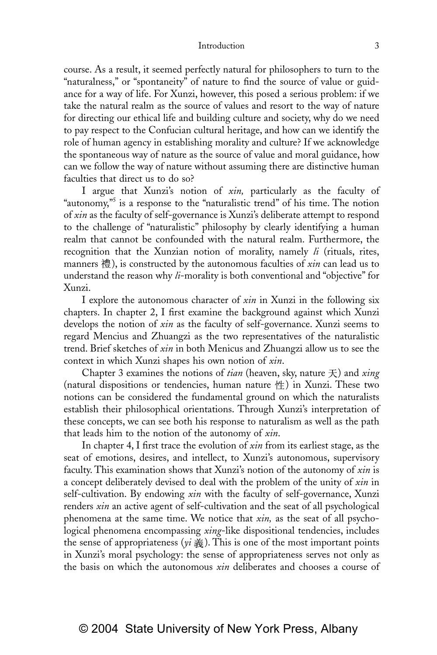## Introduction 3

course. As a result, it seemed perfectly natural for philosophers to turn to the "naturalness," or "spontaneity" of nature to find the source of value or guidance for a way of life. For Xunzi, however, this posed a serious problem: if we take the natural realm as the source of values and resort to the way of nature for directing our ethical life and building culture and society, why do we need to pay respect to the Confucian cultural heritage, and how can we identify the role of human agency in establishing morality and culture? If we acknowledge the spontaneous way of nature as the source of value and moral guidance, how can we follow the way of nature without assuming there are distinctive human faculties that direct us to do so?

I argue that Xunzi's notion of *xin,* particularly as the faculty of "autonomy,"<sup>5</sup> is a response to the "naturalistic trend" of his time. The notion of *xin* as the faculty of self-governance is Xunzi's deliberate attempt to respond to the challenge of "naturalistic" philosophy by clearly identifying a human realm that cannot be confounded with the natural realm. Furthermore, the recognition that the Xunzian notion of morality, namely *li* (rituals, rites, manners 禮), is constructed by the autonomous faculties of *xin* can lead us to understand the reason why *li*-morality is both conventional and "objective" for Xunzi.

I explore the autonomous character of *xin* in Xunzi in the following six chapters. In chapter 2, I first examine the background against which Xunzi develops the notion of *xin* as the faculty of self-governance. Xunzi seems to regard Mencius and Zhuangzi as the two representatives of the naturalistic trend. Brief sketches of *xin* in both Menicus and Zhuangzi allow us to see the context in which Xunzi shapes his own notion of *xin*.

Chapter 3 examines the notions of *tian* (heaven, sky, nature  $\pm$ ) and *xing* (natural dispositions or tendencies, human nature  $#$ ) in Xunzi. These two notions can be considered the fundamental ground on which the naturalists establish their philosophical orientations. Through Xunzi's interpretation of these concepts, we can see both his response to naturalism as well as the path that leads him to the notion of the autonomy of *xin*.

In chapter 4, I first trace the evolution of *xin* from its earliest stage, as the seat of emotions, desires, and intellect, to Xunzi's autonomous, supervisory faculty. This examination shows that Xunzi's notion of the autonomy of *xin* is a concept deliberately devised to deal with the problem of the unity of *xin* in self-cultivation. By endowing *xin* with the faculty of self-governance, Xunzi renders *xin* an active agent of self-cultivation and the seat of all psychological phenomena at the same time. We notice that *xin,* as the seat of all psychological phenomena encompassing *xing*-like dispositional tendencies, includes the sense of appropriateness ( $yi \ddot{\tilde{\mathcal{F}}}$ ). This is one of the most important points in Xunzi's moral psychology: the sense of appropriateness serves not only as the basis on which the autonomous *xin* deliberates and chooses a course of

## © 2004 State University of New York Press, Albany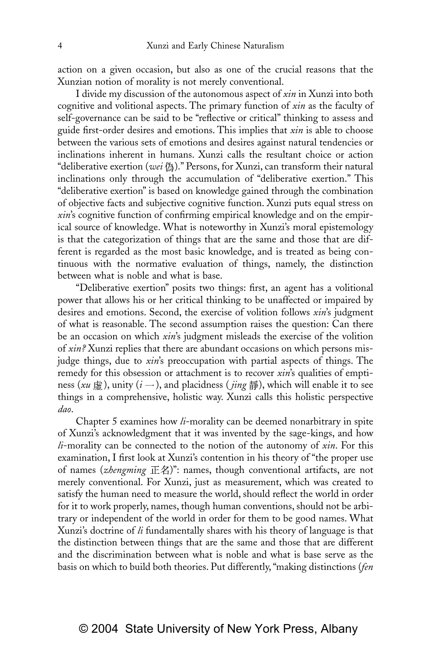action on a given occasion, but also as one of the crucial reasons that the Xunzian notion of morality is not merely conventional.

I divide my discussion of the autonomous aspect of *xin* in Xunzi into both cognitive and volitional aspects. The primary function of *xin* as the faculty of self-governance can be said to be "reflective or critical" thinking to assess and guide first-order desires and emotions. This implies that *xin* is able to choose between the various sets of emotions and desires against natural tendencies or inclinations inherent in humans. Xunzi calls the resultant choice or action "deliberative exertion (*wei* 偽)." Persons, for Xunzi, can transform their natural inclinations only through the accumulation of "deliberative exertion." This "deliberative exertion" is based on knowledge gained through the combination of objective facts and subjective cognitive function. Xunzi puts equal stress on *xin*'s cognitive function of confirming empirical knowledge and on the empirical source of knowledge. What is noteworthy in Xunzi's moral epistemology is that the categorization of things that are the same and those that are different is regarded as the most basic knowledge, and is treated as being continuous with the normative evaluation of things, namely, the distinction between what is noble and what is base.

"Deliberative exertion" posits two things: first, an agent has a volitional power that allows his or her critical thinking to be unaffected or impaired by desires and emotions. Second, the exercise of volition follows *xin*'s judgment of what is reasonable. The second assumption raises the question: Can there be an occasion on which *xin*'s judgment misleads the exercise of the volition of *xin?* Xunzi replies that there are abundant occasions on which persons misjudge things, due to *xin*'s preoccupation with partial aspects of things. The remedy for this obsession or attachment is to recover *xin*'s qualities of emptiness (*xu*  $\frac{1}{m}$ ), unity (*i* –), and placidness (*jing*  $\frac{1}{m}$ ), which will enable it to see things in a comprehensive, holistic way. Xunzi calls this holistic perspective *dao*.

Chapter 5 examines how *li*-morality can be deemed nonarbitrary in spite of Xunzi's acknowledgment that it was invented by the sage-kings, and how *li*-morality can be connected to the notion of the autonomy of *xin*. For this examination, I first look at Xunzi's contention in his theory of "the proper use of names (*zhengming* 正名)": names, though conventional artifacts, are not merely conventional. For Xunzi, just as measurement, which was created to satisfy the human need to measure the world, should reflect the world in order for it to work properly, names, though human conventions, should not be arbitrary or independent of the world in order for them to be good names. What Xunzi's doctrine of *li* fundamentally shares with his theory of language is that the distinction between things that are the same and those that are different and the discrimination between what is noble and what is base serve as the basis on which to build both theories. Put differently, "making distinctions (*fen*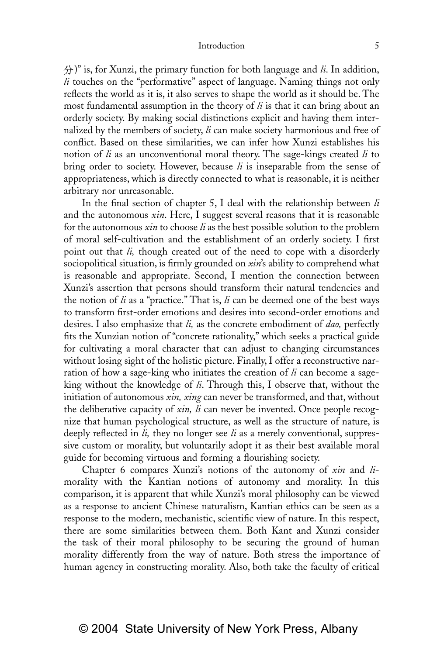)" is, for Xunzi, the primary function for both language and *li*. In addition, *li* touches on the "performative" aspect of language. Naming things not only reflects the world as it is, it also serves to shape the world as it should be. The most fundamental assumption in the theory of *li* is that it can bring about an orderly society. By making social distinctions explicit and having them internalized by the members of society, *li* can make society harmonious and free of conflict. Based on these similarities, we can infer how Xunzi establishes his notion of *li* as an unconventional moral theory. The sage-kings created *li* to bring order to society. However, because *li* is inseparable from the sense of appropriateness, which is directly connected to what is reasonable, it is neither arbitrary nor unreasonable.

In the final section of chapter 5, I deal with the relationship between *li* and the autonomous *xin*. Here, I suggest several reasons that it is reasonable for the autonomous *xin* to choose *li* as the best possible solution to the problem of moral self-cultivation and the establishment of an orderly society. I first point out that *li,* though created out of the need to cope with a disorderly sociopolitical situation, is firmly grounded on *xin*'s ability to comprehend what is reasonable and appropriate. Second, I mention the connection between Xunzi's assertion that persons should transform their natural tendencies and the notion of *li* as a "practice." That is, *li* can be deemed one of the best ways to transform first-order emotions and desires into second-order emotions and desires. I also emphasize that *li,* as the concrete embodiment of *dao,* perfectly fits the Xunzian notion of "concrete rationality," which seeks a practical guide for cultivating a moral character that can adjust to changing circumstances without losing sight of the holistic picture. Finally, I offer a reconstructive narration of how a sage-king who initiates the creation of *li* can become a sageking without the knowledge of *li*. Through this, I observe that, without the initiation of autonomous *xin, xing* can never be transformed, and that, without the deliberative capacity of *xin, li* can never be invented. Once people recognize that human psychological structure, as well as the structure of nature, is deeply reflected in *li,* they no longer see *li* as a merely conventional, suppressive custom or morality, but voluntarily adopt it as their best available moral guide for becoming virtuous and forming a flourishing society.

Chapter 6 compares Xunzi's notions of the autonomy of *xin* and *li*morality with the Kantian notions of autonomy and morality. In this comparison, it is apparent that while Xunzi's moral philosophy can be viewed as a response to ancient Chinese naturalism, Kantian ethics can be seen as a response to the modern, mechanistic, scientific view of nature. In this respect, there are some similarities between them. Both Kant and Xunzi consider the task of their moral philosophy to be securing the ground of human morality differently from the way of nature. Both stress the importance of human agency in constructing morality. Also, both take the faculty of critical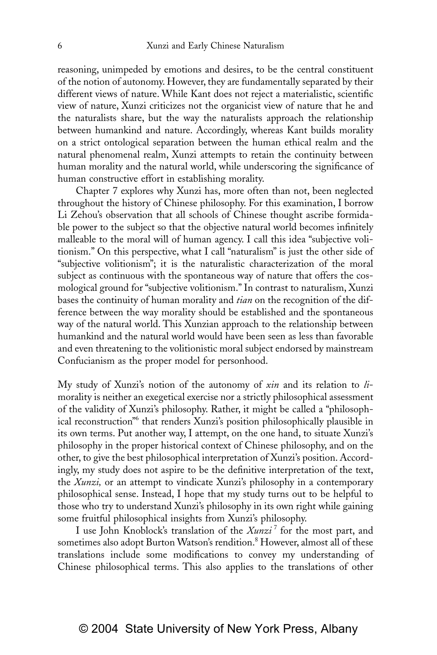reasoning, unimpeded by emotions and desires, to be the central constituent of the notion of autonomy. However, they are fundamentally separated by their different views of nature. While Kant does not reject a materialistic, scientific view of nature, Xunzi criticizes not the organicist view of nature that he and the naturalists share, but the way the naturalists approach the relationship between humankind and nature. Accordingly, whereas Kant builds morality on a strict ontological separation between the human ethical realm and the natural phenomenal realm, Xunzi attempts to retain the continuity between human morality and the natural world, while underscoring the significance of human constructive effort in establishing morality.

Chapter 7 explores why Xunzi has, more often than not, been neglected throughout the history of Chinese philosophy. For this examination, I borrow Li Zehou's observation that all schools of Chinese thought ascribe formidable power to the subject so that the objective natural world becomes infinitely malleable to the moral will of human agency. I call this idea "subjective volitionism." On this perspective, what I call "naturalism" is just the other side of "subjective volitionism"; it is the naturalistic characterization of the moral subject as continuous with the spontaneous way of nature that offers the cosmological ground for "subjective volitionism." In contrast to naturalism, Xunzi bases the continuity of human morality and *tian* on the recognition of the difference between the way morality should be established and the spontaneous way of the natural world. This Xunzian approach to the relationship between humankind and the natural world would have been seen as less than favorable and even threatening to the volitionistic moral subject endorsed by mainstream Confucianism as the proper model for personhood.

My study of Xunzi's notion of the autonomy of *xin* and its relation to *li*morality is neither an exegetical exercise nor a strictly philosophical assessment of the validity of Xunzi's philosophy. Rather, it might be called a "philosophical reconstruction<sup>n6</sup> that renders Xunzi's position philosophically plausible in its own terms. Put another way, I attempt, on the one hand, to situate Xunzi's philosophy in the proper historical context of Chinese philosophy, and on the other, to give the best philosophical interpretation of Xunzi's position. Accordingly, my study does not aspire to be the definitive interpretation of the text, the *Xunzi,* or an attempt to vindicate Xunzi's philosophy in a contemporary philosophical sense. Instead, I hope that my study turns out to be helpful to those who try to understand Xunzi's philosophy in its own right while gaining some fruitful philosophical insights from Xunzi's philosophy.

I use John Knoblock's translation of the *Xunzi* <sup>7</sup> for the most part, and sometimes also adopt Burton Watson's rendition.<sup>8</sup> However, almost all of these translations include some modifications to convey my understanding of Chinese philosophical terms. This also applies to the translations of other